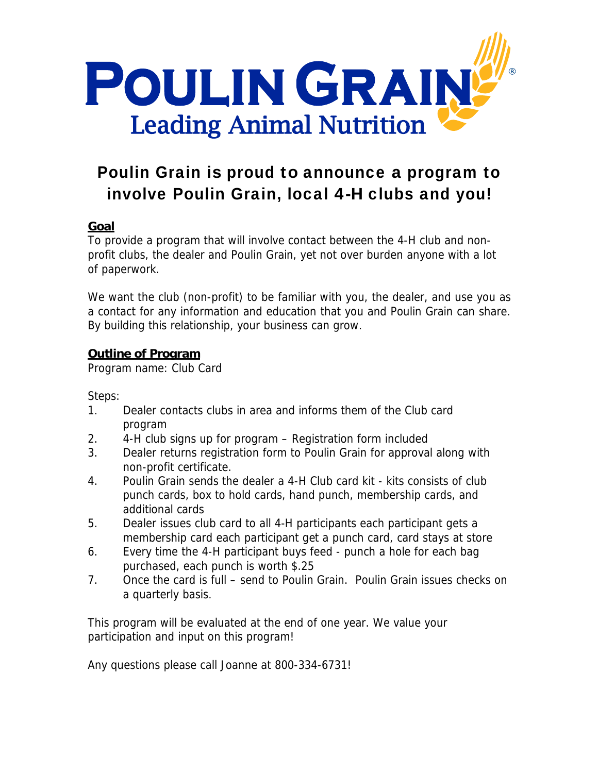

## Poulin Grain is proud to announce a program to involve Poulin Grain, local 4-H clubs and you!

## **Goal**

To provide a program that will involve contact between the 4-H club and nonprofit clubs, the dealer and Poulin Grain, yet not over burden anyone with a lot of paperwork.

We want the club (non-profit) to be familiar with you, the dealer, and use you as a contact for any information and education that you and Poulin Grain can share. By building this relationship, your business can grow.

## **Outline of Program**

Program name: Club Card

Steps:

- 1. Dealer contacts clubs in area and informs them of the Club card program
- 2. 4-H club signs up for program Registration form included
- 3. Dealer returns registration form to Poulin Grain for approval along with non-profit certificate.
- 4. Poulin Grain sends the dealer a 4-H Club card kit kits consists of club punch cards, box to hold cards, hand punch, membership cards, and additional cards
- 5. Dealer issues club card to all 4-H participants each participant gets a membership card each participant get a punch card, card stays at store
- 6. Every time the 4-H participant buys feed punch a hole for each bag purchased, each punch is worth \$.25
- 7. Once the card is full send to Poulin Grain. Poulin Grain issues checks on a quarterly basis.

This program will be evaluated at the end of one year. We value your participation and input on this program!

Any questions please call Joanne at 800-334-6731!